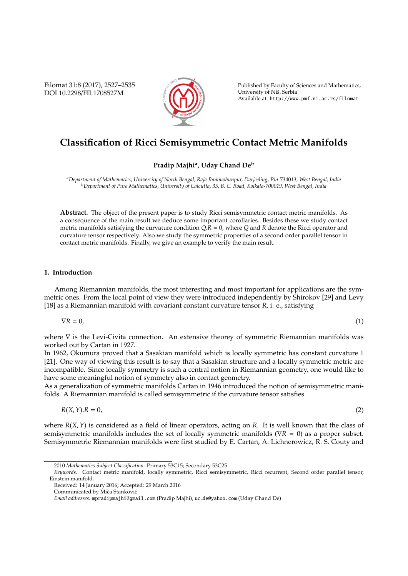Filomat 31:8 (2017), 2527–2535 DOI 10.2298/FIL1708527M



Published by Faculty of Sciences and Mathematics, University of Nis, Serbia ˇ Available at: http://www.pmf.ni.ac.rs/filomat

# **Classification of Ricci Semisymmetric Contact Metric Manifolds**

# **Pradip Majhi<sup>a</sup> , Uday Chand De<sup>b</sup>**

*<sup>a</sup>Department of Mathematics, University of North Bengal, Raja Rammohunpur, Darjeeling, Pin-*734013*, West Bengal, India <sup>b</sup>Department of Pure Mathematics, University of Calcutta, 35, B. C. Road, Kolkata-700019, West Bengal, India*

**Abstract.** The object of the present paper is to study Ricci semisymmetric contact metric manifolds. As a consequence of the main result we deduce some important corollaries. Besides these we study contact metric manifolds satisfying the curvature condition *Q*.*R* = 0, where *Q* and *R* denote the Ricci operator and curvature tensor respectively. Also we study the symmetric properties of a second order parallel tensor in contact metric manifolds. Finally, we give an example to verify the main result.

## **1. Introduction**

Among Riemannian manifolds, the most interesting and most important for applications are the symmetric ones. From the local point of view they were introduced independently by Shirokov [29] and Levy [18] as a Riemannian manifold with covariant constant curvature tensor *R*, i. e., satisfying

$$
\nabla R = 0,\tag{1}
$$

where  $∇$  is the Levi-Civita connection. An extensive theorey of symmetric Riemannian manifolds was worked out by Cartan in 1927.

In 1962, Okumura proved that a Sasakian manifold which is locally symmetric has constant curvature 1 [21]. One way of viewing this result is to say that a Sasakian structure and a locally symmetric metric are incompatible. Since locally symmetry is such a central notion in Riemannian geometry, one would like to have some meaningful notion of symmetry also in contact geometry.

As a generalization of symmetric manifolds Cartan in 1946 introduced the notion of semisymmetric manifolds. A Riemannian manifold is called semisymmetric if the curvature tensor satisfies

$$
R(X,Y).R = 0,\t\t(2)
$$

where *R*(*X*,*Y*) is considered as a field of linear operators, acting on *R*. It is well known that the class of semisymmetric manifolds includes the set of locally symmetric manifolds (∇*R* = 0) as a proper subset. Semisymmetric Riemannian manifolds were first studied by E. Cartan, A. Lichnerowicz, R. S. Couty and

<sup>2010</sup> *Mathematics Subject Classification*. Primary 53C15; Secondary 53C25

*Keywords*. Contact metric manifold, locally symmetric, Ricci semisymmetric, Ricci recurrent, Second order parallel tensor, Einstein manifold.

Received: 14 January 2016; Accepted: 29 March 2016

Communicated by Mića Stanković

*Email addresses:* mpradipmajhi@gmail.com (Pradip Majhi), uc de@yahoo.com (Uday Chand De)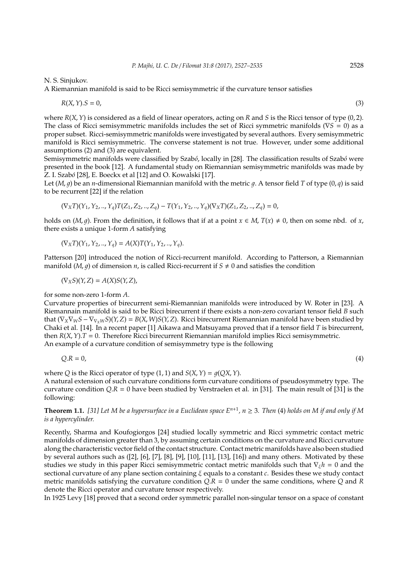N. S. Sinjukov.

A Riemannian manifold is said to be Ricci semisymmetric if the curvature tensor satisfies

$$
R(X,Y).S = 0,\t\t(3)
$$

where *R*(*X*,*Y*) is considered as a field of linear operators, acting on *R* and *S* is the Ricci tensor of type (0, 2). The class of Ricci semisymmetric manifolds includes the set of Ricci symmetric manifolds (∇*S* = 0) as a proper subset. Ricci-semisymmetric manifolds were investigated by several authors. Every semisymmetric manifold is Ricci semisymmetric. The converse statement is not true. However, under some additional assumptions (2) and (3) are equivalent.

Semisymmetric manifolds were classified by Szab*o*´, locally in [28]. The classification results of Szab*o*´ were presented in the book [12]. A fundamental study on Riemannian semisymmetric manifolds was made by Z. I. Szab*o*´ [28], E. Boeckx et al [12] and O. Kowalski [17].

Let  $(M, q)$  be an *n*-dimensional Riemannian manifold with the metric q. A tensor field *T* of type  $(0, q)$  is said to be recurrent [22] if the relation

$$
(\nabla_X T)(Y_1, Y_2, ..., Y_q)T(Z_1, Z_2, ..., Z_q) - T(Y_1, Y_2, ..., Y_q)(\nabla_X T)(Z_1, Z_2, ..., Z_q) = 0,
$$

holds on  $(M, q)$ . From the definition, it follows that if at a point  $x \in M$ ,  $T(x) \neq 0$ , then on some nbd. of *x*, there exists a unique 1-form *A* satisfying

$$
(\nabla_X T)(Y_1, Y_2, ..., Y_q) = A(X)T(Y_1, Y_2, ..., Y_q).
$$

Patterson [20] introduced the notion of Ricci-recurrent manifold. According to Patterson, a Riemannian manifold (*M*, *q*) of dimension *n*, is called Ricci-recurrent if  $S \neq 0$  and satisfies the condition

$$
(\nabla_X S)(Y,Z)=A(X)S(Y,Z),
$$

for some non-zero 1-form *A*.

Curvature properties of birecurrent semi-Riemannian manifolds were introduced by W. Roter in [23]. A Riemannain manifold is said to be Ricci birecurrent if there exists a non-zero covariant tensor field *B* such that  $(\nabla_X \nabla_W S - \nabla_{\nabla_Y W} S)(Y, Z) = B(X, W)S(Y, Z)$ . Ricci birecurrent Riemannian manifold have been studied by Chaki et al. [14]. In a recent paper [1] Aikawa and Matsuyama proved that if a tensor field *T* is birecurrent, then *R*(*X*,*Y*).*T* = 0. Therefore Ricci birecurrent Riemannian manifold implies Ricci semisymmetric. An example of a curvature condition of semisymmetry type is the following

$$
Q.R = 0,\t\t(4)
$$

where *Q* is the Ricci operator of type  $(1, 1)$  and  $S(X, Y) = g(QX, Y)$ .

A natural extension of such curvature conditions form curvature conditions of pseudosymmetry type. The curvature condition *Q*.*R* = 0 have been studied by Verstraelen et al. in [31]. The main result of [31] is the following:

## **Theorem 1.1.** [31] Let M be a hypersurface in a Euclidean space  $E^{n+1}$ ,  $n \geq 3$ . Then (4) holds on M if and only if M *is a hypercylinder.*

Recently, Sharma and Koufogiorgos [24] studied locally symmetric and Ricci symmetric contact metric manifolds of dimension greater than 3, by assuming certain conditions on the curvature and Ricci curvature along the characteristic vector field of the contact structure. Contact metric manifolds have also been studied by several authors such as ([2], [6], [7], [8], [9], [10], [11], [13], [16]) and many others. Motivated by these studies we study in this paper Ricci semisymmetric contact metric manifolds such that ∇ξ*h* = 0 and the sectional curvature of any plane section containing ξ equals to a constant *c*. Besides these we study contact metric manifolds satisfying the curvature condition *Q*.*R* = 0 under the same conditions, where *Q* and *R* denote the Ricci operator and curvature tensor respectively.

In 1925 Levy [18] proved that a second order symmetric parallel non-singular tensor on a space of constant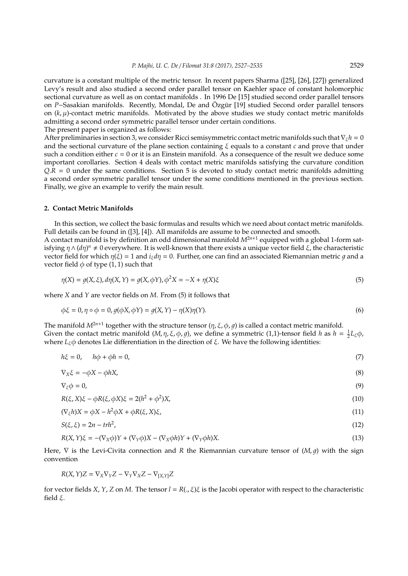curvature is a constant multiple of the metric tensor. In recent papers Sharma ([25], [26], [27]) generalized Levy's result and also studied a second order parallel tensor on Kaehler space of constant holomorphic sectional curvature as well as on contact manifolds . In 1996 De [15] studied second order parallel tensors on *P*−Sasakian manifolds. Recently, Mondal, De and Özgür [19] studied Second order parallel tensors on  $(k, \mu)$ -contact metric manifolds. Motivated by the above studies we study contact metric manifolds admitting a second order symmetric parallel tensor under certain conditions. The present paper is organized as follows:

After preliminaries in section 3, we consider Ricci semisymmetric contact metric manifolds such that∇ξ*h* = 0 and the sectional curvature of the plane section containing ξ equals to a constant *c* and prove that under such a condition either  $c = 0$  or it is an Einstein manifold. As a consequence of the result we deduce some important corollaries. Section 4 deals with contact metric manifolds satisfying the curvature condition  $Q.R = 0$  under the same conditions. Section 5 is devoted to study contact metric manifolds admitting a second order symmetric parallel tensor under the some conditions mentioned in the previous section. Finally, we give an example to verify the main result.

#### **2. Contact Metric Manifolds**

In this section, we collect the basic formulas and results which we need about contact metric manifolds. Full details can be found in ([3], [4]). All manifolds are assume to be connected and smooth.

A contact manifold is by definition an odd dimensional manifold *M*2*n*+<sup>1</sup> equipped with a global 1-form satisfying  $η ∧ (dη)<sup>n</sup> ≠ 0$  everywhere. It is well-known that there exists a unique vector field *ξ*, the characteristic vector field for which  $η(ξ) = 1$  and  $i<sub>ξ</sub>dη = 0$ . Further, one can find an associated Riemannian metric *g* and a vector field  $\phi$  of type (1, 1) such that

$$
\eta(X) = g(X, \xi), d\eta(X, Y) = g(X, \phi Y), \phi^2 X = -X + \eta(X)\xi
$$
\n(5)

where *X* and *Y* are vector fields on *M*. From (5) it follows that

$$
\phi \xi = 0, \eta \circ \phi = 0, g(\phi X, \phi Y) = g(X, Y) - \eta(X)\eta(Y). \tag{6}
$$

The manifold  $M^{2n+1}$  together with the structure tensor  $(\eta, \xi, \phi, g)$  is called a contact metric manifold. Given the contact metric manifold  $(M, \eta, \xi, \phi, g)$ , we define a symmetric (1,1)-tensor field *h* as  $h = \frac{1}{2}L_{\xi}\phi$ , where  $L_{\xi}\phi$  denotes Lie differentiation in the direction of  $\xi$ . We have the following identities:

 $h\xi = 0, \quad h\phi + \phi h = 0,$  (7)

$$
\nabla_X \xi = -\phi X - \phi h X,\tag{8}
$$

$$
\nabla_{\xi}\phi=0,\tag{9}
$$

$$
R(\xi, X)\xi - \phi R(\xi, \phi X)\xi = 2(h^2 + \phi^2)X,\tag{10}
$$

$$
(\nabla_{\xi}h)X = \phi X - h^2 \phi X + \phi R(\xi, X)\xi,
$$
\n(11)

$$
S(\xi,\xi) = 2n - trh^2,\tag{12}
$$

$$
R(X,Y)\xi = -(\nabla_X \phi)Y + (\nabla_Y \phi)X - (\nabla_X \phi h)Y + (\nabla_Y \phi h)X.
$$
\n(13)

Here,  $∇$  is the Levi-Civita connection and *R* the Riemannian curvature tensor of (*M*, *q*) with the sign convention

$$
R(X, Y)Z = \nabla_X \nabla_Y Z - \nabla_Y \nabla_X Z - \nabla_{[X,Y]} Z
$$

for vector fields *X*, *Y*, *Z* on *M*. The tensor  $l = R(.)$ ,  $\xi$ ) $\xi$  is the Jacobi operator with respect to the characteristic field ξ.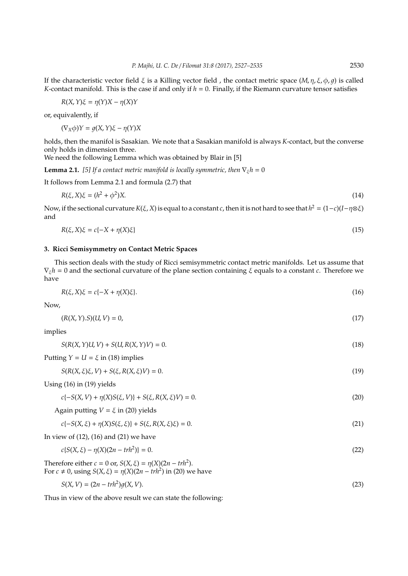If the characteristic vector field  $\xi$  is a Killing vector field, the contact metric space  $(M, \eta, \xi, \phi, q)$  is called *K*-contact manifold. This is the case if and only if  $h = 0$ . Finally, if the Riemann curvature tensor satisfies

$$
R(X, Y)\xi = \eta(Y)X - \eta(X)Y
$$

or, equivalently, if

 $(\nabla_X \phi)Y = q(X, Y)\xi - \eta(Y)X$ 

holds, then the manifol is Sasakian. We note that a Sasakian manifold is always *K*-contact, but the converse only holds in dimension three.

We need the following Lemma which was obtained by Blair in [5]

**Lemma 2.1.** *[5] If a contact metric manifold is locally symmetric, then*  $\nabla_{\xi}h = 0$ 

It follows from Lemma 2.1 and formula (2.7) that

$$
R(\xi, X)\xi = (h^2 + \phi^2)X.
$$
\n<sup>(14)</sup>

Now, if the sectional curvature *K*(ξ, *X*) is equal to a constant *c*, then it is not hard to see that *h* <sup>2</sup> = (1−*c*)(*I*−η⊗ξ) and

$$
R(\xi, X)\xi = c\{-X + \eta(X)\xi\} \tag{15}
$$

#### **3. Ricci Semisymmetry on Contact Metric Spaces**

This section deals with the study of Ricci semisymmetric contact metric manifolds. Let us assume that ∇ξ*h* = 0 and the sectional curvature of the plane section containing ξ equals to a constant *c*. Therefore we have

$$
R(\xi, X)\xi = c\{-X + \eta(X)\xi\}.\tag{16}
$$

Now,

$$
(R(X, Y).S)(U, V) = 0,\t(17)
$$

implies

$$
S(R(X, Y)U, V) + S(U, R(X, Y)V) = 0.
$$
\n(18)

Putting  $Y = U = \xi$  in (18) implies

 $S(R(X, \xi)\xi, V) + S(\xi, R(X, \xi)V) = 0.$  (19)

Using (16) in (19) yields

 $c\{-S(X, V) + \eta(X)S(\xi, V)\} + S(\xi, R(X, \xi)V) = 0.$  (20)

Again putting  $V = \xi$  in (20) yields

 $c(-S(X, \xi) + \eta(X)S(\xi, \xi)) + S(\xi, R(X, \xi)\xi) = 0.$  (21)

In view of (12), (16) and (21) we have

$$
c{S(X, \xi) - \eta(X)(2n - trh^2)} = 0.
$$
\n(22)

Therefore either *c* = 0 or, *S*(*X*,  $\xi$ ) =  $\eta$ (*X*)(2*n* − *trh*<sup>2</sup>). For *c* ≠ 0, using *S*(*X*, *ξ*) =  $η$ (*X*)(2*n* − *trh*<sup>2</sup>) in (20) we have

$$
S(X, V) = (2n - trh2)g(X, V). \tag{23}
$$

Thus in view of the above result we can state the following: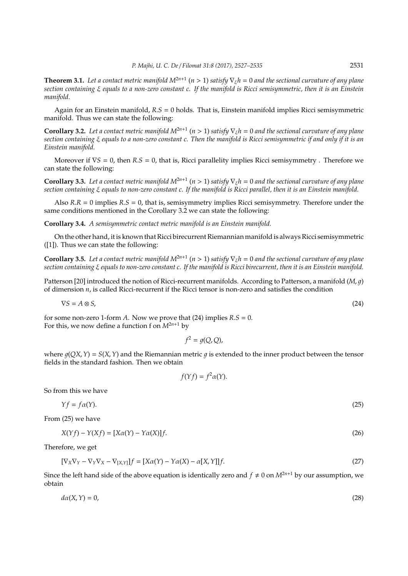**Theorem 3.1.** *Let a contact metric manifold M*2*n*+<sup>1</sup> (*n* > 1) *satisfy* ∇ξ*h* = 0 *and the sectional curvature of any plane section containing* ξ *equals to a non-zero constant c. If the manifold is Ricci semisymmetric, then it is an Einstein manifold.*

Again for an Einstein manifold, *R*.*S* = 0 holds. That is, Einstein manifold implies Ricci semisymmetric manifold. Thus we can state the following:

**Corollary 3.2.** Let a contact metric manifold  $M^{2n+1}$  ( $n > 1$ ) satisfy  $\nabla_{\xi}h = 0$  and the sectional curvature of any plane *section containing* ξ *equals to a non-zero constant c. Then the manifold is Ricci semisymmetric if and only if it is an Einstein manifold.*

Moreover if ∇*S* = 0, then *R*.*S* = 0, that is, Ricci parallelity implies Ricci semisymmetry . Therefore we can state the following:

**Corollary 3.3.** Let a contact metric manifold  $M^{2n+1}$   $(n > 1)$  satisfy  $\nabla_{\xi}h = 0$  and the sectional curvature of any plane *section containing* ξ *equals to non-zero constant c. If the manifold is Ricci parallel, then it is an Einstein manifold.*

Also *R*.*R* = 0 implies *R*.*S* = 0, that is, semisymmetry implies Ricci semisymmetry. Therefore under the same conditions mentioned in the Corollary 3.2 we can state the following:

**Corollary 3.4.** *A semisymmetric contact metric manifold is an Einstein manifold.*

On the other hand, it is known that Ricci birecurrent Riemannian manifold is always Ricci semisymmetric ([1]). Thus we can state the following:

**Corollary 3.5.** Let a contact metric manifold  $M^{2n+1}$  ( $n > 1$ ) satisfy  $\nabla_{\xi}h = 0$  and the sectional curvature of any plane *section containing* ξ *equals to non-zero constant c. If the manifold is Ricci birecurrent, then it is an Einstein manifold.*

Patterson [20] introduced the notion of Ricci-recurrent manifolds. According to Patterson, a manifold (*M*, 1) of dimension *n*, is called Ricci-recurrent if the Ricci tensor is non-zero and satisfies the condition

$$
\nabla S = A \otimes S,\tag{24}
$$

for some non-zero 1-form *A*. Now we prove that (24) implies  $R.S = 0$ . For this, we now define a function f on  $M^{2n+1}$  by

 $f^2 = g(Q, Q)$ ,

where  $g(QX, Y) = S(X, Y)$  and the Riemannian metric q is extended to the inner product between the tensor fields in the standard fashion. Then we obtain

$$
f(Yf) = f^2 \alpha(Y).
$$

So from this we have

$$
\gamma f = f \alpha(\gamma). \tag{25}
$$

From (25) we have

$$
X(Yf) - Y(Xf) = [X\alpha(Y) - Y\alpha(X)]f.
$$
\n(26)

Therefore, we get

$$
[\nabla_X \nabla_Y - \nabla_Y \nabla_X - \nabla_{[X,Y]}]f = [X\alpha(Y) - \alpha(X) - \alpha[X,Y]]f.
$$
\n(27)

Since the left hand side of the above equation is identically zero and  $f \neq 0$  on  $M^{2n+1}$  by our assumption, we obtain

$$
d\alpha(X,Y) = 0,\tag{28}
$$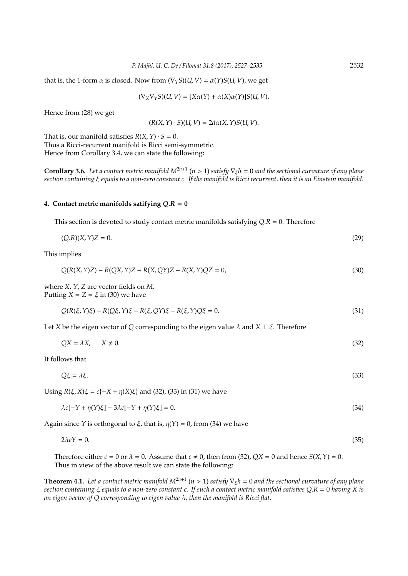that is, the 1-form  $\alpha$  is closed. Now from  $(\nabla_Y S)(U, V) = \alpha(Y)S(U, V)$ , we get

$$
(\nabla_X \nabla_Y S)(U, V) = [X\alpha(Y) + \alpha(X)\alpha(Y)]S(U, V).
$$

Hence from (28) we get

$$
(R(X, Y) \cdot S)(U, V) = 2d\alpha(X, Y)S(U, V).
$$

That is, our manifold satisfies  $R(X, Y) \cdot S = 0$ . Thus a Ricci-recurrent manifold is Ricci semi-symmetric. Hence from Corollary 3.4, we can state the following:

**Corollary 3.6.** Let a contact metric manifold  $M^{2n+1}$  ( $n > 1$ ) satisfy  $\nabla_{\xi}h = 0$  and the sectional curvature of any plane *section containing* ξ *equals to a non-zero constant c. If the manifold is Ricci recurrent, then it is an Einstein manifold.*

#### **4. Contact metric manifolds satifying** *Q*.*R* = **0**

This section is devoted to study contact metric manifolds satisfying *Q*.*R* = 0. Therefore

$$
(Q.R)(X,Y)Z = 0.\t(29)
$$

This implies

$$
Q(R(X, Y)Z) - R(QX, Y)Z - R(X, QY)Z - R(X, Y)QZ = 0,
$$
\n(30)

where *X*, *Y*, *Z* are vector fields on *M*. Putting  $X = Z = \xi$  in (30) we have

$$
Q(R(\xi, Y)\xi) - R(Q\xi, Y)\xi - R(\xi, QY)\xi - R(\xi, Y)Q\xi = 0.
$$
\n(31)

Let *X* be the eigen vector of *Q* corresponding to the eigen value  $\lambda$  and  $X \perp \xi$ . Therefore

$$
QX = \lambda X, \qquad X \neq 0. \tag{32}
$$

It follows that

 $Q\xi = \lambda \xi$ . (33)

Using *R*(*ξ*, *X*)*ξ* = *c*{−*X* +  $η$ (*X*)*ξ*} and (32), (33) in (31) we have

$$
\lambda c[-Y + \eta(Y)\xi] - 3\lambda c[-Y + \eta(Y)\xi] = 0.
$$
\n(34)

Again since *Y* is orthogonal to  $\xi$ , that is,  $\eta(Y) = 0$ , from (34) we have

$$
2\lambda cY = 0.\tag{35}
$$

Therefore either  $c = 0$  or  $\lambda = 0$ . Assume that  $c \neq 0$ , then from (32),  $QX = 0$  and hence  $S(X, Y) = 0$ . Thus in view of the above result we can state the following:

**Theorem 4.1.** Let a contact metric manifold  $M^{2n+1}$   $(n > 1)$  satisfy  $\nabla_{\xi}h = 0$  and the sectional curvature of any plane *section containing* ξ *equals to a non-zero constant c. If such a contact metric manifold satisfies Q*.*R* = 0 *having X is an eigen vector of Q corresponding to eigen value* λ*, then the manifold is Ricci flat.*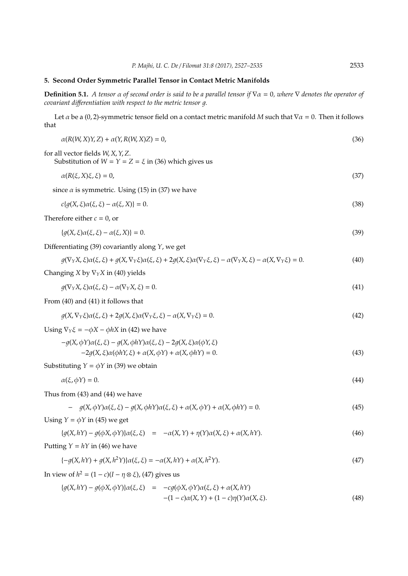## **5. Second Order Symmetric Parallel Tensor in Contact Metric Manifolds**

**Definition 5.1.** *A tensor* α *of second order is said to be a parallel tensor if* ∇α = 0*, where* ∇ *denotes the operator of covariant differentiation with respect to the metric tensor q.* 

Let  $\alpha$  be a (0, 2)-symmetric tensor field on a contact metric manifold *M* such that  $\nabla \alpha = 0$ . Then it follows that

$$
\alpha(R(W, X)Y, Z) + \alpha(Y, R(W, X)Z) = 0,
$$
\n(36)  
\nfor all vector fields W, X, Y, Z.  
\nSubstitution of W = Y = Z = \xi in (36) which gives us  
\n
$$
\alpha(R(\xi, X)\xi, \xi) = 0,
$$
\n(37)  
\nsince  $\alpha$  is symmetric. Using (15) in (37) we have  
\n
$$
c(g(X, \xi)\alpha(\xi, \xi) - \alpha(\xi, X)) = 0.
$$
\n(38)  
\nTherefore either  $c = 0$ , or  
\n
$$
\{g(X, \xi)\alpha(\xi, \xi) - \alpha(\xi, X)\} = 0.
$$
\n(39)  
\nDifferentiating (39) covariantly along Y, we get  
\n
$$
g(\nabla_Y X, \xi)\alpha(\xi, \xi) + g(X, \nabla_Y \xi)\alpha(\xi, \xi) + 2g(X, \xi)\alpha(\nabla_Y \xi, \xi) - \alpha(\nabla_Y X, \xi) = 0.
$$
\n(40)  
\nChanging X by V<sub>Y</sub> X in (40) yields  
\n
$$
g(\nabla_Y X, \xi)\alpha(\xi, \xi) - \alpha(\nabla_Y X, \xi) = 0.
$$
\n(41)  
\nFrom (40) and (41) it follows that  
\n
$$
g(X, \nabla_Y \xi)\alpha(\xi, \xi) + 2g(X, \xi)\alpha(\nabla_Y \xi, \xi) - \alpha(X, \nabla_Y \xi) = 0.
$$
\n(42)  
\nUsing  $\nabla_Y \xi = -\phi X - \phi I X$  in (42) we have  
\n
$$
-g(X, \xi)\alpha(\phi IY, \xi) + \alpha(X, \phi Y) + \alpha(X, \phi IY) = 0.
$$
\n(43)  
\nSubstituting  $Y = \phi Y$  in (39) we obtain  
\n
$$
\alpha(\xi, \phi Y) = 0.
$$
\n(44)  
\nThus from (43) and (44) we have  
\n
$$
- g(X, \phi Y)\alpha(\xi, \xi) - g(X, \phi IY)\alpha(\xi, \xi) + \alpha(X, \phi Y) + \alpha(X, \phi IY) = 0.
$$
\n(45)  
\nUsing  $Y = \phi Y$  in (45) we get  
\n
$$
\{g(X, hY
$$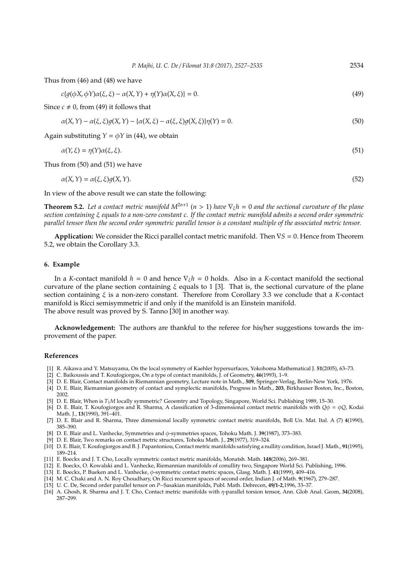Thus from (46) and (48) we have

$$
c\{g(\phi X, \phi Y)\alpha(\xi, \xi) - \alpha(X, Y) + \eta(Y)\alpha(X, \xi)\} = 0.
$$
\n(49)

Since  $c \neq 0$ , from (49) it follows that

$$
\alpha(X,Y) - \alpha(\xi,\xi)g(X,Y) - \{\alpha(X,\xi) - \alpha(\xi,\xi)g(X,\xi)\}\eta(Y) = 0.
$$
\n<sup>(50)</sup>

Again substituting  $Y = \phi Y$  in (44), we obtain

$$
\alpha(Y,\xi) = \eta(Y)\alpha(\xi,\xi). \tag{51}
$$

Thus from (50) and (51) we have

$$
\alpha(X,Y) = \alpha(\xi,\xi)g(X,Y). \tag{52}
$$

In view of the above result we can state the following:

**Theorem 5.2.** Let a contact metric manifold  $M^{2n+1}$  ( $n > 1$ ) have  $\nabla_{\xi}h = 0$  and the sectional curvature of the plane *section containing* ξ *equals to a non-zero constant c. If the contact metric manifold admits a second order symmetric parallel tensor then the second order symmetric parallel tensor is a constant multiple of the associated metric tensor.*

**Application:** We consider the Ricci parallel contact metric manifold. Then ∇*S* = 0. Hence from Theorem 5.2, we obtain the Corollary 3.3.

#### **6. Example**

In a *K*-contact manifold  $h = 0$  and hence  $\nabla_{\xi}h = 0$  holds. Also in a *K*-contact manifold the sectional curvature of the plane section containing  $\xi$  equals to 1 [3]. That is, the sectional curvature of the plane section containing ξ is a non-zero constant. Therefore from Corollary 3.3 we conclude that a *K*-contact manifold is Ricci semisymmetric if and only if the manifold is an Einstein manifold. The above result was proved by S. Tanno [30] in another way.

**Acknowledgement:** The authors are thankful to the referee for his/her suggestions towards the improvement of the paper.

### **References**

- [1] R. Aikawa and Y. Matsuyama, On the local symmetry of Kaehler hypersurfaces, Yokohoma Mathematical J. **51**(2005), 63–73.
- [2] C. Baikoussis and T. Koufogiorgos, On a type of contact manifolds, J. of Geometry, **46**(1993), 1–9.
- [3] D. E. Blair, Contact manifolds in Riemannian geometry, Lecture note in Math., **509**, Springer-Verlag, Berlin-New York, 1976.
- [4] D. E. Blair, Riemannian geometry of contact and symplectic manifolds, Progress in Math., **203**, Birkhauser Boston, Inc., Boston, 2002.
- [5] D. E. Blair, When is *T*1*M* locally symmetric? Geoemtry and Topology, Singapore, World Sci. Publishing 1989, 15–30.
- [6] D. E. Blair, T. Koufogiorgos and R. Sharma, A classification of 3-dimensional contact metric manifolds with *Q*φ = φ*Q*, Kodai Math. J., **13**(1990), 391–401.
- [7] D. E. Blair and R. Sharma, Three dimensional locally symmetric contact metric manifolds, Boll Un. Mat. Ital. A (7) **4**(1990), 385–390.
- [8] D. E. Blair and L. Vanhecke, Symmetries and φ-symmetries spaces, Tohoku Math. J. **39**(1987), 373–383.
- [9] D. E. Blair, Two remarks on contact metric structures, Tohoku Math. J., **29**(1977), 319–324.
- [10] D. E. Blair, T. Koufogiorgos and B. J. Papantoniou, Contact metric manifolds satisfying a nullity condition, Israel J. Math., **91**(1995), 189–214.
- [11] E. Boeckx and J. T. Cho, Locally symmetric contact metric manifolds, Monatsh. Math. **148**(2006), 269–381.
- [12] E. Boeckx, O. Kowalski and L. Vanhecke, Riemannian manifolds of conullity two, Singapore World Sci. Publishing, 1996.
- [13] E. Boeckx, P. Bueken and L. Vanhecke, φ-symmetric contact metric spaces, Glasg. Math. J. **41**(1999), 409–416.
- [14] M. C. Chaki and A. N. Roy Choudhary, On Ricci recurrent spaces of second order, Indian J. of Math. **9**(1967), 279–287.
- [15] U. C. De, Second order parallel tensor on *P*−Sasakian manifolds, Publ. Math. Debrecen, **49**/**1-2**,1996, 33–37.
- [16] A. Ghosh, R. Sharma and J. T. Cho, Contact metric manifolds with η-parallel torsion tensor, Ann. Glob Anal. Geom, **34**(2008), 287–299.